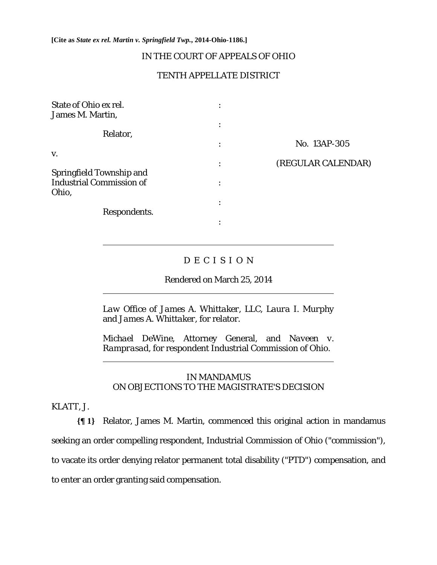**[Cite as** *State ex rel. Martin v. Springfield Twp.***, 2014-Ohio-1186.]**

# IN THE COURT OF APPEALS OF OHIO

# TENTH APPELLATE DISTRICT

| State of Ohio ex rel.<br>James M. Martin,                                   |                |                    |
|-----------------------------------------------------------------------------|----------------|--------------------|
| Relator,                                                                    | ٠              |                    |
|                                                                             | ٠              | No. 13AP-305       |
| V.                                                                          | $\bullet$      | (REGULAR CALENDAR) |
| <b>Springfield Township and</b><br><b>Industrial Commission of</b><br>Ohio, | ٠              |                    |
| Respondents.                                                                | ٠<br>$\bullet$ |                    |
|                                                                             | ٠              |                    |

# D E C I S I O N

Rendered on March 25, 2014

*Law Office of James A. Whittaker, LLC*, *Laura I. Murphy*  and *James A. Whittaker,* for relator.

*Michael DeWine*, Attorney General, and *Naveen v. Ramprasad,* for respondent Industrial Commission of Ohio.

# IN MANDAMUS ON OBJECTIONS TO THE MAGISTRATE'S DECISION

#### KLATT, J.

 $\overline{a}$ 

 $\overline{a}$ 

 $\overline{a}$ 

**{¶ 1}** Relator, James M. Martin, commenced this original action in mandamus seeking an order compelling respondent, Industrial Commission of Ohio ("commission"), to vacate its order denying relator permanent total disability ("PTD") compensation, and to enter an order granting said compensation.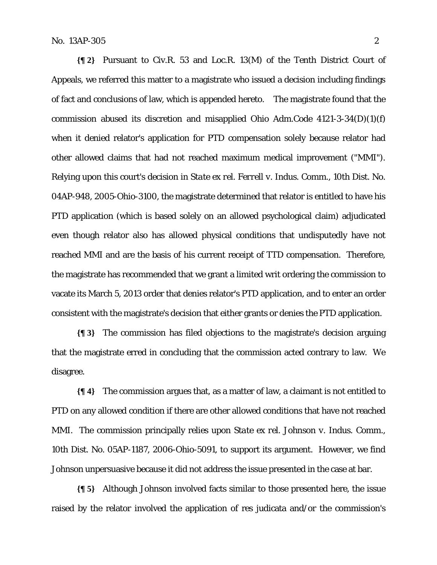**{¶ 2}** Pursuant to Civ.R. 53 and Loc.R. 13(M) of the Tenth District Court of Appeals, we referred this matter to a magistrate who issued a decision including findings of fact and conclusions of law, which is appended hereto. The magistrate found that the commission abused its discretion and misapplied Ohio Adm.Code 4121-3-34(D)(1)(f) when it denied relator's application for PTD compensation solely because relator had other allowed claims that had not reached maximum medical improvement ("MMI"). Relying upon this court's decision in *State ex rel. Ferrell v. Indus. Comm.*, 10th Dist. No. 04AP-948, 2005-Ohio-3100, the magistrate determined that relator is entitled to have his PTD application (which is based solely on an allowed psychological claim) adjudicated even though relator also has allowed physical conditions that undisputedly have not reached MMI and are the basis of his current receipt of TTD compensation. Therefore, the magistrate has recommended that we grant a limited writ ordering the commission to vacate its March 5, 2013 order that denies relator's PTD application, and to enter an order consistent with the magistrate's decision that either grants or denies the PTD application.

**{¶ 3}** The commission has filed objections to the magistrate's decision arguing that the magistrate erred in concluding that the commission acted contrary to law. We disagree.

**{¶ 4}** The commission argues that, as a matter of law, a claimant is not entitled to PTD on any allowed condition if there are other allowed conditions that have not reached MMI. The commission principally relies upon *State ex rel. Johnson v. Indus. Comm.*, 10th Dist. No. 05AP-1187, 2006-Ohio-5091, to support its argument. However, we find *Johnson* unpersuasive because it did not address the issue presented in the case at bar.

**{¶ 5}** Although *Johnson* involved facts similar to those presented here, the issue raised by the relator involved the application of res judicata and/or the commission's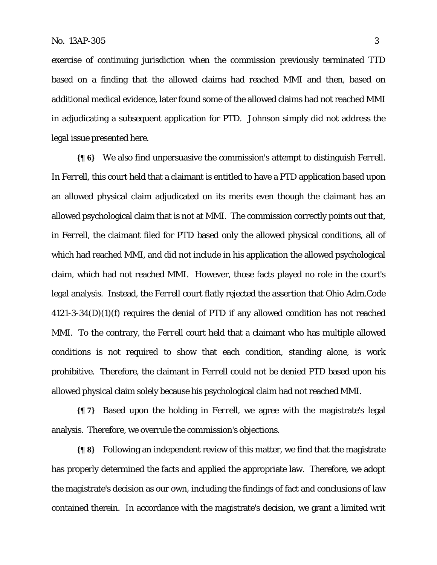exercise of continuing jurisdiction when the commission previously terminated TTD based on a finding that the allowed claims had reached MMI and then, based on additional medical evidence, later found some of the allowed claims had not reached MMI in adjudicating a subsequent application for PTD. *Johnson* simply did not address the legal issue presented here.

**{¶ 6}** We also find unpersuasive the commission's attempt to distinguish *Ferrell*. In *Ferrell*, this court held that a claimant is entitled to have a PTD application based upon an allowed physical claim adjudicated on its merits even though the claimant has an allowed psychological claim that is not at MMI. The commission correctly points out that, in *Ferrell*, the claimant filed for PTD based only the allowed physical conditions, all of which had reached MMI, and did not include in his application the allowed psychological claim, which had not reached MMI. However, those facts played no role in the court's legal analysis. Instead, the *Ferrell* court flatly rejected the assertion that Ohio Adm.Code 4121-3-34(D)(1)(f) requires the denial of PTD if any allowed condition has not reached MMI. To the contrary, the *Ferrell* court held that a claimant who has multiple allowed conditions is not required to show that each condition, standing alone, is work prohibitive. Therefore, the claimant in *Ferrell* could not be denied PTD based upon his allowed physical claim solely because his psychological claim had not reached MMI.

**{¶ 7}** Based upon the holding in *Ferrell*, we agree with the magistrate's legal analysis. Therefore, we overrule the commission's objections.

**{¶ 8}** Following an independent review of this matter, we find that the magistrate has properly determined the facts and applied the appropriate law. Therefore, we adopt the magistrate's decision as our own, including the findings of fact and conclusions of law contained therein. In accordance with the magistrate's decision, we grant a limited writ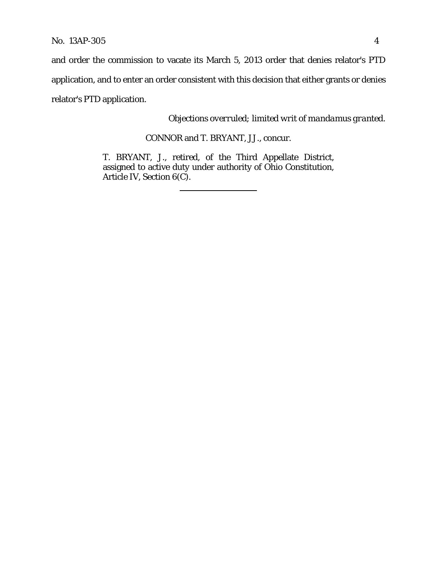and order the commission to vacate its March 5, 2013 order that denies relator's PTD

application, and to enter an order consistent with this decision that either grants or denies

relator's PTD application.

*Objections overruled; limited writ of mandamus granted.*

CONNOR and T. BRYANT, JJ., concur.

T. BRYANT, J., retired, of the Third Appellate District, assigned to active duty under authority of Ohio Constitution, Article IV, Section 6(C).

 $\overline{a}$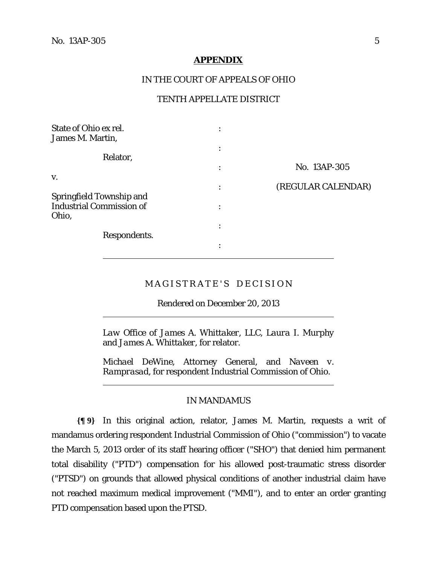$\overline{a}$ 

 $\overline{a}$ 

#### **APPENDIX**

### IN THE COURT OF APPEALS OF OHIO

# TENTH APPELLATE DISTRICT

| State of Ohio ex rel.<br>James M. Martin, |                      |                    |
|-------------------------------------------|----------------------|--------------------|
| Relator,                                  | ٠<br>$\bullet$       |                    |
|                                           |                      | No. 13AP-305       |
| V.                                        | ٠                    | (REGULAR CALENDAR) |
| <b>Springfield Township and</b>           | $\ddot{\phantom{0}}$ |                    |
| <b>Industrial Commission of</b><br>Ohio,  | ٠                    |                    |
|                                           |                      |                    |
| Respondents.                              | ٠<br>$\bullet$       |                    |

## MAGISTRATE'S DECISION

Rendered on December 20, 2013

*Law Office of James A. Whittaker, LLC*, *Laura I. Murphy*  and *James A. Whittaker,* for relator.

*Michael DeWine*, Attorney General, and *Naveen v. Ramprasad,* for respondent Industrial Commission of Ohio.

### IN MANDAMUS

**{¶ 9}** In this original action, relator, James M. Martin, requests a writ of mandamus ordering respondent Industrial Commission of Ohio ("commission") to vacate the March 5, 2013 order of its staff hearing officer ("SHO") that denied him permanent total disability ("PTD") compensation for his allowed post-traumatic stress disorder ("PTSD") on grounds that allowed physical conditions of another industrial claim have not reached maximum medical improvement ("MMI"), and to enter an order granting PTD compensation based upon the PTSD.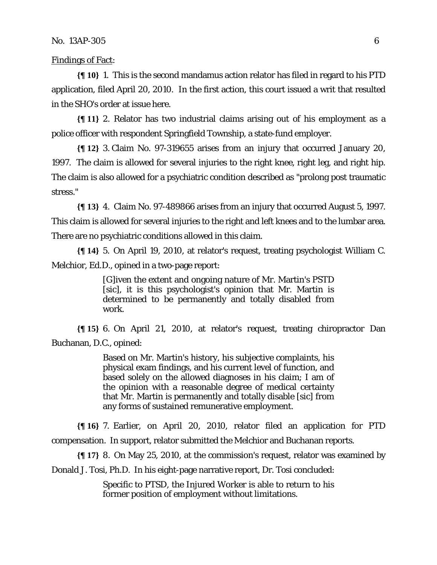Findings of Fact:

**{¶ 10}** 1. This is the second mandamus action relator has filed in regard to his PTD application, filed April 20, 2010. In the first action, this court issued a writ that resulted in the SHO's order at issue here.

**{¶ 11}** 2. Relator has two industrial claims arising out of his employment as a police officer with respondent Springfield Township, a state-fund employer.

**{¶ 12}** 3. Claim No. 97-319655 arises from an injury that occurred January 20, 1997. The claim is allowed for several injuries to the right knee, right leg, and right hip. The claim is also allowed for a psychiatric condition described as "prolong post traumatic stress."

**{¶ 13}** 4. Claim No. 97-489866 arises from an injury that occurred August 5, 1997. This claim is allowed for several injuries to the right and left knees and to the lumbar area. There are no psychiatric conditions allowed in this claim.

**{¶ 14}** 5. On April 19, 2010, at relator's request, treating psychologist William C. Melchior, Ed.D., opined in a two-page report:

> [G]iven the extent and ongoing nature of Mr. Martin's PSTD [sic], it is this psychologist's opinion that Mr. Martin is determined to be permanently and totally disabled from work.

**{¶ 15}** 6. On April 21, 2010, at relator's request, treating chiropractor Dan Buchanan, D.C., opined:

> Based on Mr. Martin's history, his subjective complaints, his physical exam findings, and his current level of function, and based solely on the allowed diagnoses in his claim; I am of the opinion with a reasonable degree of medical certainty that Mr. Martin is permanently and totally disable [sic] from any forms of sustained remunerative employment.

**{¶ 16}** 7. Earlier, on April 20, 2010, relator filed an application for PTD compensation. In support, relator submitted the Melchior and Buchanan reports.

**{¶ 17}** 8. On May 25, 2010, at the commission's request, relator was examined by Donald J. Tosi, Ph.D. In his eight-page narrative report, Dr. Tosi concluded:

> Specific to PTSD, the Injured Worker is able to return to his former position of employment without limitations.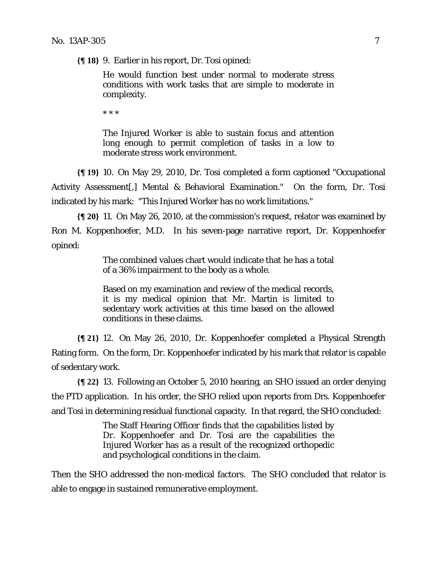**{¶ 18}** 9. Earlier in his report, Dr. Tosi opined:

He would function best under normal to moderate stress conditions with work tasks that are simple to moderate in complexity.

\* \* \*

The Injured Worker is able to sustain focus and attention long enough to permit completion of tasks in a low to moderate stress work environment.

**{¶ 19}** 10. On May 29, 2010, Dr. Tosi completed a form captioned "Occupational Activity Assessment[,] Mental & Behavioral Examination." On the form, Dr. Tosi indicated by his mark: "This Injured Worker has no work limitations."

**{¶ 20}** 11. On May 26, 2010, at the commission's request, relator was examined by Ron M. Koppenhoefer, M.D. In his seven-page narrative report, Dr. Koppenhoefer opined:

> The combined values chart would indicate that he has a total of a 36% impairment to the body as a whole.

> Based on my examination and review of the medical records, it is my medical opinion that Mr. Martin is limited to sedentary work activities at this time based on the allowed conditions in these claims.

**{¶ 21}** 12. On May 26, 2010, Dr. Koppenhoefer completed a Physical Strength Rating form. On the form, Dr. Koppenhoefer indicated by his mark that relator is capable of sedentary work.

**{¶ 22}** 13. Following an October 5, 2010 hearing, an SHO issued an order denying the PTD application. In his order, the SHO relied upon reports from Drs. Koppenhoefer and Tosi in determining residual functional capacity. In that regard, the SHO concluded:

> The Staff Hearing Officer finds that the capabilities listed by Dr. Koppenhoefer and Dr. Tosi are the capabilities the Injured Worker has as a result of the recognized orthopedic and psychological conditions in the claim.

Then the SHO addressed the non-medical factors. The SHO concluded that relator is able to engage in sustained remunerative employment.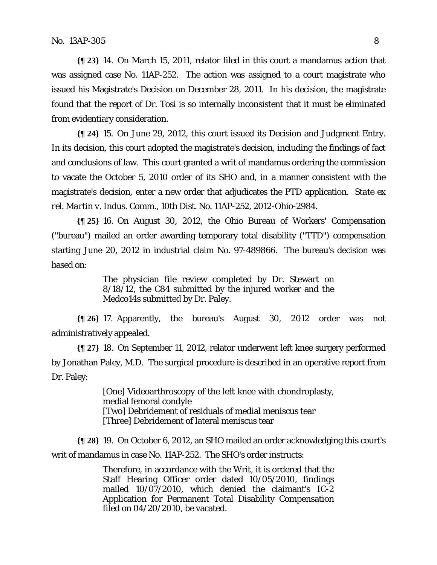**{¶ 23}** 14. On March 15, 2011, relator filed in this court a mandamus action that was assigned case No. 11AP-252. The action was assigned to a court magistrate who issued his Magistrate's Decision on December 28, 2011. In his decision, the magistrate found that the report of Dr. Tosi is so internally inconsistent that it must be eliminated from evidentiary consideration.

**{¶ 24}** 15. On June 29, 2012, this court issued its Decision and Judgment Entry. In its decision, this court adopted the magistrate's decision, including the findings of fact and conclusions of law. This court granted a writ of mandamus ordering the commission to vacate the October 5, 2010 order of its SHO and, in a manner consistent with the magistrate's decision, enter a new order that adjudicates the PTD application. *State ex rel. Martin v. Indus. Comm.,* 10th Dist. No. 11AP-252, 2012-Ohio-2984.

**{¶ 25}** 16. On August 30, 2012, the Ohio Bureau of Workers' Compensation ("bureau") mailed an order awarding temporary total disability ("TTD") compensation starting June 20, 2012 in industrial claim No. 97-489866. The bureau's decision was based on:

> The physician file review completed by Dr. Stewart on 8/18/12, the C84 submitted by the injured worker and the Medco14s submitted by Dr. Paley.

**{¶ 26}** 17. Apparently, the bureau's August 30, 2012 order was not administratively appealed.

**{¶ 27}** 18. On September 11, 2012, relator underwent left knee surgery performed by Jonathan Paley, M.D. The surgical procedure is described in an operative report from Dr. Paley:

> [One] Videoarthroscopy of the left knee with chondroplasty, medial femoral condyle [Two] Debridement of residuals of medial meniscus tear [Three] Debridement of lateral meniscus tear

**{¶ 28}** 19. On October 6, 2012, an SHO mailed an order acknowledging this court's writ of mandamus in case No. 11AP-252. The SHO's order instructs:

> Therefore, in accordance with the Writ, it is ordered that the Staff Hearing Officer order dated 10/05/2010, findings mailed 10/07/2010, which denied the claimant's IC-2 Application for Permanent Total Disability Compensation filed on 04/20/2010, be vacated.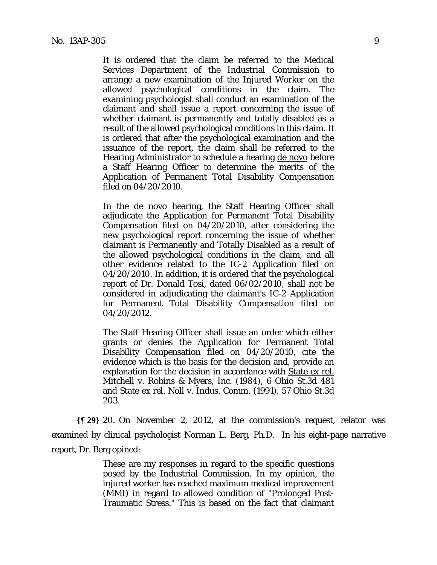It is ordered that the claim be referred to the Medical Services Department of the Industrial Commission to arrange a new examination of the Injured Worker on the allowed psychological conditions in the claim. The examining psychologist shall conduct an examination of the claimant and shall issue a report concerning the issue of whether claimant is permanently and totally disabled as a result of the allowed psychological conditions in this claim. It is ordered that after the psychological examination and the issuance of the report, the claim shall be referred to the Hearing Administrator to schedule a hearing de novo before a Staff Hearing Officer to determine the merits of the Application of Permanent Total Disability Compensation filed on 04/20/2010.

In the <u>de novo</u> hearing, the Staff Hearing Officer shall adjudicate the Application for Permanent Total Disability Compensation filed on 04/20/2010, after considering the new psychological report concerning the issue of whether claimant is Permanently and Totally Disabled as a result of the allowed psychological conditions in the claim, and all other evidence related to the IC-2 Application filed on 04/20/2010. In addition, it is ordered that the psychological report of Dr. Donald Tosi, dated 06/02/2010, shall not be considered in adjudicating the claimant's IC-2 Application for Permanent Total Disability Compensation filed on 04/20/2012.

The Staff Hearing Officer shall issue an order which either grants or denies the Application for Permanent Total Disability Compensation filed on 04/20/2010, cite the evidence which is the basis for the decision and, provide an explanation for the decision in accordance with State ex rel. Mitchell v. Robins & Myers, Inc. (1984), 6 Ohio St.3d 481 and State ex rel. Noll v. Indus. Comm. (1991), 57 Ohio St.3d 203.

**{¶ 29}** 20. On November 2, 2012, at the commission's request, relator was examined by clinical psychologist Norman L. Berg, Ph.D. In his eight-page narrative report, Dr. Berg opined:

> These are my responses in regard to the specific questions posed by the Industrial Commission. In my opinion, the injured worker has reached maximum medical improvement (MMI) in regard to allowed condition of "Prolonged Post-Traumatic Stress." This is based on the fact that claimant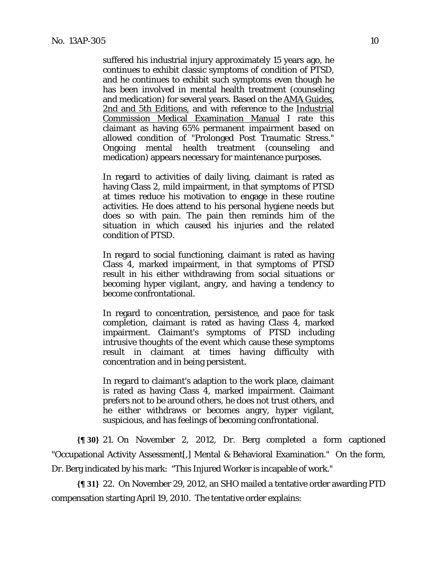suffered his industrial injury approximately 15 years ago, he continues to exhibit classic symptoms of condition of PTSD, and he continues to exhibit such symptoms even though he has been involved in mental health treatment (counseling and medication) for several years. Based on the AMA Guides, 2nd and 5th Editions, and with reference to the Industrial Commission Medical Examination Manual I rate this claimant as having 65% permanent impairment based on allowed condition of "Prolonged Post Traumatic Stress." Ongoing mental health treatment (counseling and medication) appears necessary for maintenance purposes.

In regard to activities of daily living, claimant is rated as having Class 2, mild impairment, in that symptoms of PTSD at times reduce his motivation to engage in these routine activities. He does attend to his personal hygiene needs but does so with pain. The pain then reminds him of the situation in which caused his injuries and the related condition of PTSD.

In regard to social functioning, claimant is rated as having Class 4, marked impairment, in that symptoms of PTSD result in his either withdrawing from social situations or becoming hyper vigilant, angry, and having a tendency to become confrontational.

In regard to concentration, persistence, and pace for task completion, claimant is rated as having Class 4, marked impairment. Claimant's symptoms of PTSD including intrusive thoughts of the event which cause these symptoms result in claimant at times having difficulty with concentration and in being persistent.

In regard to claimant's adaption to the work place, claimant is rated as having Class 4, marked impairment. Claimant prefers not to be around others, he does not trust others, and he either withdraws or becomes angry, hyper vigilant, suspicious, and has feelings of becoming confrontational.

**{¶ 30}** 21. On November 2, 2012, Dr. Berg completed a form captioned "Occupational Activity Assessment[,] Mental & Behavioral Examination." On the form, Dr. Berg indicated by his mark: "This Injured Worker is incapable of work."

**{¶ 31}** 22. On November 29, 2012, an SHO mailed a tentative order awarding PTD compensation starting April 19, 2010. The tentative order explains: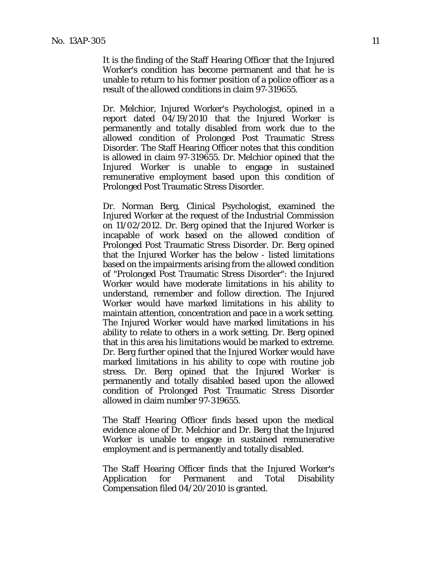It is the finding of the Staff Hearing Officer that the Injured Worker's condition has become permanent and that he is unable to return to his former position of a police officer as a result of the allowed conditions in claim 97-319655.

Dr. Melchior, Injured Worker's Psychologist, opined in a report dated 04/19/2010 that the Injured Worker is permanently and totally disabled from work due to the allowed condition of Prolonged Post Traumatic Stress Disorder. The Staff Hearing Officer notes that this condition is allowed in claim 97-319655. Dr. Melchior opined that the Injured Worker is unable to engage in sustained remunerative employment based upon this condition of Prolonged Post Traumatic Stress Disorder.

Dr. Norman Berg, Clinical Psychologist, examined the Injured Worker at the request of the Industrial Commission on 11/02/2012. Dr. Berg opined that the Injured Worker is incapable of work based on the allowed condition of Prolonged Post Traumatic Stress Disorder. Dr. Berg opined that the Injured Worker has the below - listed limitations based on the impairments arising from the allowed condition of "Prolonged Post Traumatic Stress Disorder": the Injured Worker would have moderate limitations in his ability to understand, remember and follow direction. The Injured Worker would have marked limitations in his ability to maintain attention, concentration and pace in a work setting. The Injured Worker would have marked limitations in his ability to relate to others in a work setting. Dr. Berg opined that in this area his limitations would be marked to extreme. Dr. Berg further opined that the Injured Worker would have marked limitations in his ability to cope with routine job stress. Dr. Berg opined that the Injured Worker is permanently and totally disabled based upon the allowed condition of Prolonged Post Traumatic Stress Disorder allowed in claim number 97-319655.

The Staff Hearing Officer finds based upon the medical evidence alone of Dr. Melchior and Dr. Berg that the Injured Worker is unable to engage in sustained remunerative employment and is permanently and totally disabled.

The Staff Hearing Officer finds that the Injured Worker's Application for Permanent and Total Disability Compensation filed 04/20/2010 is granted.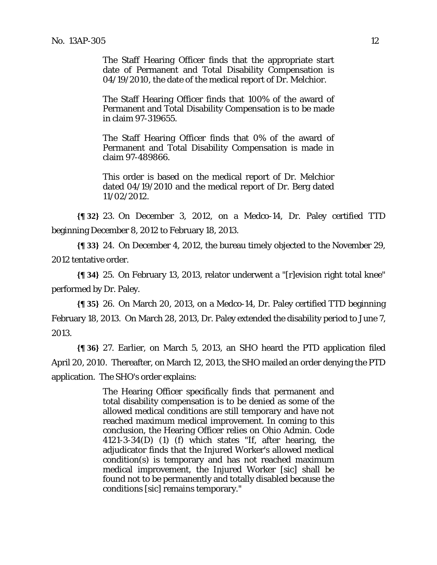The Staff Hearing Officer finds that the appropriate start date of Permanent and Total Disability Compensation is 04/19/2010, the date of the medical report of Dr. Melchior.

The Staff Hearing Officer finds that 100% of the award of Permanent and Total Disability Compensation is to be made in claim 97-319655.

The Staff Hearing Officer finds that 0% of the award of Permanent and Total Disability Compensation is made in claim 97-489866.

This order is based on the medical report of Dr. Melchior dated 04/19/2010 and the medical report of Dr. Berg dated 11/02/2012.

**{¶ 32}** 23. On December 3, 2012, on a Medco-14, Dr. Paley certified TTD beginning December 8, 2012 to February 18, 2013.

**{¶ 33}** 24. On December 4, 2012, the bureau timely objected to the November 29, 2012 tentative order.

**{¶ 34}** 25. On February 13, 2013, relator underwent a "[r]evision right total knee" performed by Dr. Paley.

**{¶ 35}** 26. On March 20, 2013, on a Medco-14, Dr. Paley certified TTD beginning February 18, 2013. On March 28, 2013, Dr. Paley extended the disability period to June 7, 2013.

**{¶ 36}** 27. Earlier, on March 5, 2013, an SHO heard the PTD application filed April 20, 2010. Thereafter, on March 12, 2013, the SHO mailed an order denying the PTD application. The SHO's order explains:

> The Hearing Officer specifically finds that permanent and total disability compensation is to be denied as some of the allowed medical conditions are still temporary and have not reached maximum medical improvement. In coming to this conclusion, the Hearing Officer relies on Ohio Admin. Code 4121-3-34(D) (1) (f) which states "If, after hearing, the adjudicator finds that the Injured Worker's allowed medical condition(s) is temporary and has not reached maximum medical improvement, the Injured Worker [sic] shall be found not to be permanently and totally disabled because the conditions [sic] remains temporary."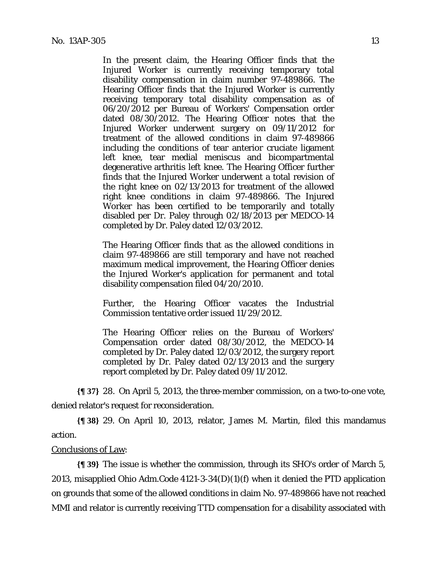In the present claim, the Hearing Officer finds that the Injured Worker is currently receiving temporary total disability compensation in claim number 97-489866. The Hearing Officer finds that the Injured Worker is currently receiving temporary total disability compensation as of 06/20/2012 per Bureau of Workers' Compensation order dated 08/30/2012. The Hearing Officer notes that the Injured Worker underwent surgery on 09/11/2012 for treatment of the allowed conditions in claim 97-489866 including the conditions of tear anterior cruciate ligament left knee, tear medial meniscus and bicompartmental degenerative arthritis left knee. The Hearing Officer further finds that the Injured Worker underwent a total revision of the right knee on 02/13/2013 for treatment of the allowed right knee conditions in claim 97-489866. The Injured Worker has been certified to be temporarily and totally disabled per Dr. Paley through 02/18/2013 per MEDCO-14 completed by Dr. Paley dated 12/03/2012.

The Hearing Officer finds that as the allowed conditions in claim 97-489866 are still temporary and have not reached maximum medical improvement, the Hearing Officer denies the Injured Worker's application for permanent and total disability compensation filed 04/20/2010.

Further, the Hearing Officer vacates the Industrial Commission tentative order issued 11/29/2012.

The Hearing Officer relies on the Bureau of Workers' Compensation order dated 08/30/2012, the MEDCO-14 completed by Dr. Paley dated 12/03/2012, the surgery report completed by Dr. Paley dated 02/13/2013 and the surgery report completed by Dr. Paley dated 09/11/2012.

**{¶ 37}** 28. On April 5, 2013, the three-member commission, on a two-to-one vote, denied relator's request for reconsideration.

**{¶ 38}** 29. On April 10, 2013, relator, James M. Martin, filed this mandamus action.

#### Conclusions of Law:

**{¶ 39}** The issue is whether the commission, through its SHO's order of March 5, 2013, misapplied Ohio Adm.Code 4121-3-34(D)(1)(f) when it denied the PTD application on grounds that some of the allowed conditions in claim No. 97-489866 have not reached MMI and relator is currently receiving TTD compensation for a disability associated with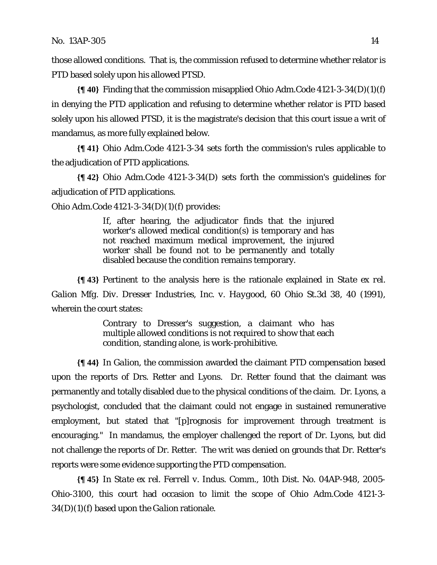those allowed conditions. That is, the commission refused to determine whether relator is PTD based solely upon his allowed PTSD.

**{¶ 40}** Finding that the commission misapplied Ohio Adm.Code 4121-3-34(D)(1)(f) in denying the PTD application and refusing to determine whether relator is PTD based solely upon his allowed PTSD, it is the magistrate's decision that this court issue a writ of mandamus, as more fully explained below.

**{¶ 41}** Ohio Adm.Code 4121-3-34 sets forth the commission's rules applicable to the adjudication of PTD applications.

**{¶ 42}** Ohio Adm.Code 4121-3-34(D) sets forth the commission's guidelines for adjudication of PTD applications.

Ohio Adm.Code 4121-3-34(D)(1)(f) provides:

If, after hearing, the adjudicator finds that the injured worker's allowed medical condition(s) is temporary and has not reached maximum medical improvement, the injured worker shall be found not to be permanently and totally disabled because the condition remains temporary.

**{¶ 43}** Pertinent to the analysis here is the rationale explained in *State ex rel. Galion Mfg. Div. Dresser Industries, Inc. v. Haygood*, 60 Ohio St.3d 38, 40 (1991), wherein the court states:

> Contrary to Dresser's suggestion, a claimant who has multiple allowed conditions is not required to show that each condition, standing alone, is work-prohibitive.

**{¶ 44}** In *Galion*, the commission awarded the claimant PTD compensation based upon the reports of Drs. Retter and Lyons. Dr. Retter found that the claimant was permanently and totally disabled due to the physical conditions of the claim. Dr. Lyons, a psychologist, concluded that the claimant could not engage in sustained remunerative employment, but stated that "[p]rognosis for improvement through treatment is encouraging." In mandamus, the employer challenged the report of Dr. Lyons, but did not challenge the reports of Dr. Retter. The writ was denied on grounds that Dr. Retter's reports were some evidence supporting the PTD compensation.

**{¶ 45}** In *State ex rel. Ferrell v. Indus. Comm.*, 10th Dist. No. 04AP-948, 2005- Ohio-3100, this court had occasion to limit the scope of Ohio Adm.Code 4121-3- 34(D)(1)(f) based upon the *Galion* rationale.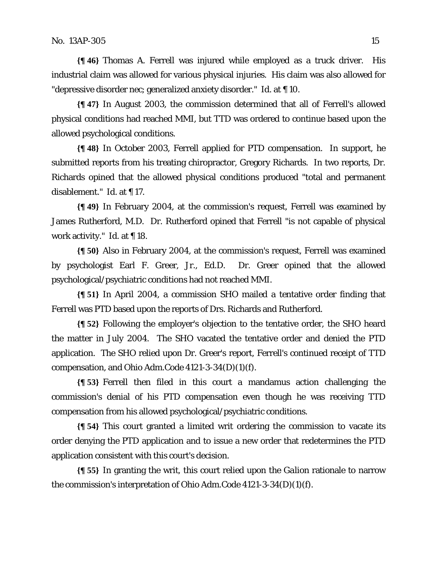**{¶ 46}** Thomas A. Ferrell was injured while employed as a truck driver. His industrial claim was allowed for various physical injuries. His claim was also allowed for "depressive disorder nec; generalized anxiety disorder." *Id.* at ¶ 10.

**{¶ 47}** In August 2003, the commission determined that all of Ferrell's allowed physical conditions had reached MMI, but TTD was ordered to continue based upon the allowed psychological conditions.

**{¶ 48}** In October 2003, Ferrell applied for PTD compensation. In support, he submitted reports from his treating chiropractor, Gregory Richards. In two reports, Dr. Richards opined that the allowed physical conditions produced "total and permanent disablement." *Id.* at ¶ 17.

**{¶ 49}** In February 2004, at the commission's request, Ferrell was examined by James Rutherford, M.D. Dr. Rutherford opined that Ferrell "is not capable of physical work activity." *Id.* at ¶ 18.

**{¶ 50}** Also in February 2004, at the commission's request, Ferrell was examined by psychologist Earl F. Greer, Jr., Ed.D. Dr. Greer opined that the allowed psychological/psychiatric conditions had not reached MMI.

**{¶ 51}** In April 2004, a commission SHO mailed a tentative order finding that Ferrell was PTD based upon the reports of Drs. Richards and Rutherford.

**{¶ 52}** Following the employer's objection to the tentative order, the SHO heard the matter in July 2004. The SHO vacated the tentative order and denied the PTD application. The SHO relied upon Dr. Greer's report, Ferrell's continued receipt of TTD compensation, and Ohio Adm.Code 4121-3-34(D)(1)(f).

**{¶ 53}** Ferrell then filed in this court a mandamus action challenging the commission's denial of his PTD compensation even though he was receiving TTD compensation from his allowed psychological/psychiatric conditions.

**{¶ 54}** This court granted a limited writ ordering the commission to vacate its order denying the PTD application and to issue a new order that redetermines the PTD application consistent with this court's decision.

**{¶ 55}** In granting the writ, this court relied upon the *Galion* rationale to narrow the commission's interpretation of Ohio Adm.Code 4121-3-34(D)(1)(f).